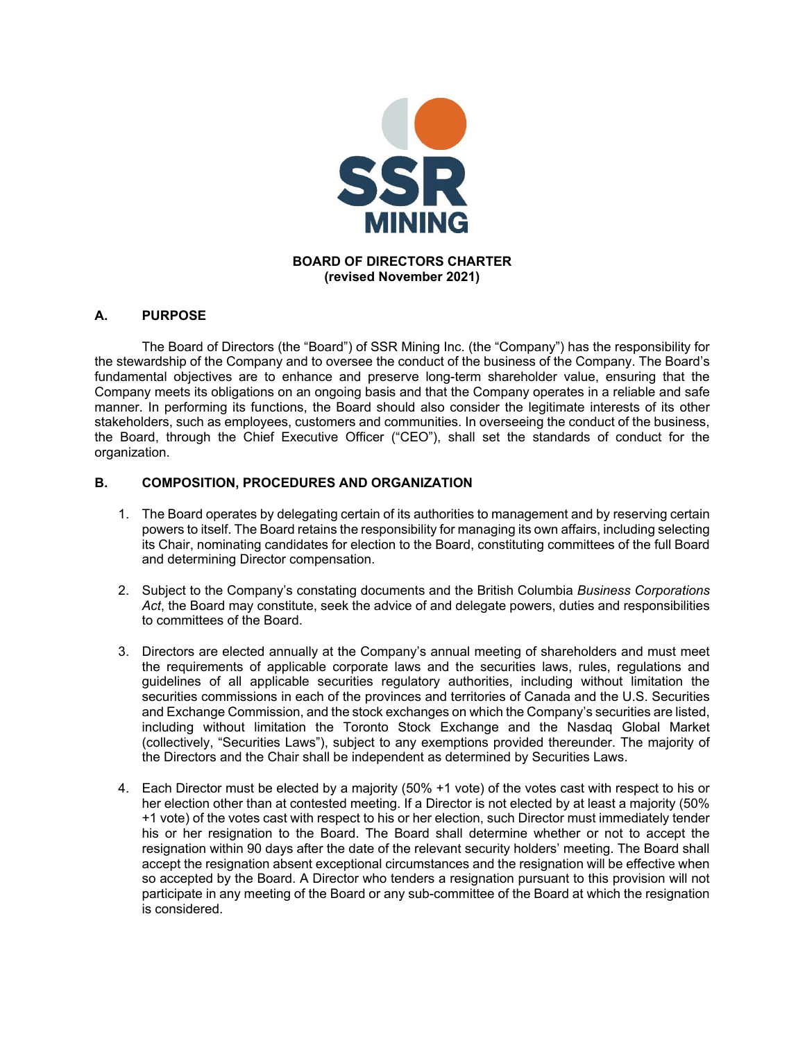

# **A. PURPOSE**

 The Board of Directors (the "Board") of SSR Mining Inc. (the "Company") has the responsibility for the stewardship of the Company and to oversee the conduct of the business of the Company. The Board's fundamental objectives are to enhance and preserve long-term shareholder value, ensuring that the Company meets its obligations on an ongoing basis and that the Company operates in a reliable and safe manner. In performing its functions, the Board should also consider the legitimate interests of its other stakeholders, such as employees, customers and communities. In overseeing the conduct of the business, the Board, through the Chief Executive Officer ("CEO"), shall set the standards of conduct for the organization.

## **B. COMPOSITION, PROCEDURES AND ORGANIZATION**

- 1. The Board operates by delegating certain of its authorities to management and by reserving certain powers to itself. The Board retains the responsibility for managing its own affairs, including selecting its Chair, nominating candidates for election to the Board, constituting committees of the full Board and determining Director compensation.
- 2. Subject to the Company's constating documents and the British Columbia *Business Corporations Act*, the Board may constitute, seek the advice of and delegate powers, duties and responsibilities to committees of the Board.
- 3. Directors are elected annually at the Company's annual meeting of shareholders and must meet the requirements of applicable corporate laws and the securities laws, rules, regulations and guidelines of all applicable securities regulatory authorities, including without limitation the securities commissions in each of the provinces and territories of Canada and the U.S. Securities and Exchange Commission, and the stock exchanges on which the Company's securities are listed, including without limitation the Toronto Stock Exchange and the Nasdaq Global Market (collectively, "Securities Laws"), subject to any exemptions provided thereunder. The majority of the Directors and the Chair shall be independent as determined by Securities Laws.
- 4. Each Director must be elected by a majority (50% +1 vote) of the votes cast with respect to his or her election other than at contested meeting. If a Director is not elected by at least a majority (50% +1 vote) of the votes cast with respect to his or her election, such Director must immediately tender his or her resignation to the Board. The Board shall determine whether or not to accept the resignation within 90 days after the date of the relevant security holders' meeting. The Board shall accept the resignation absent exceptional circumstances and the resignation will be effective when so accepted by the Board. A Director who tenders a resignation pursuant to this provision will not participate in any meeting of the Board or any sub-committee of the Board at which the resignation is considered.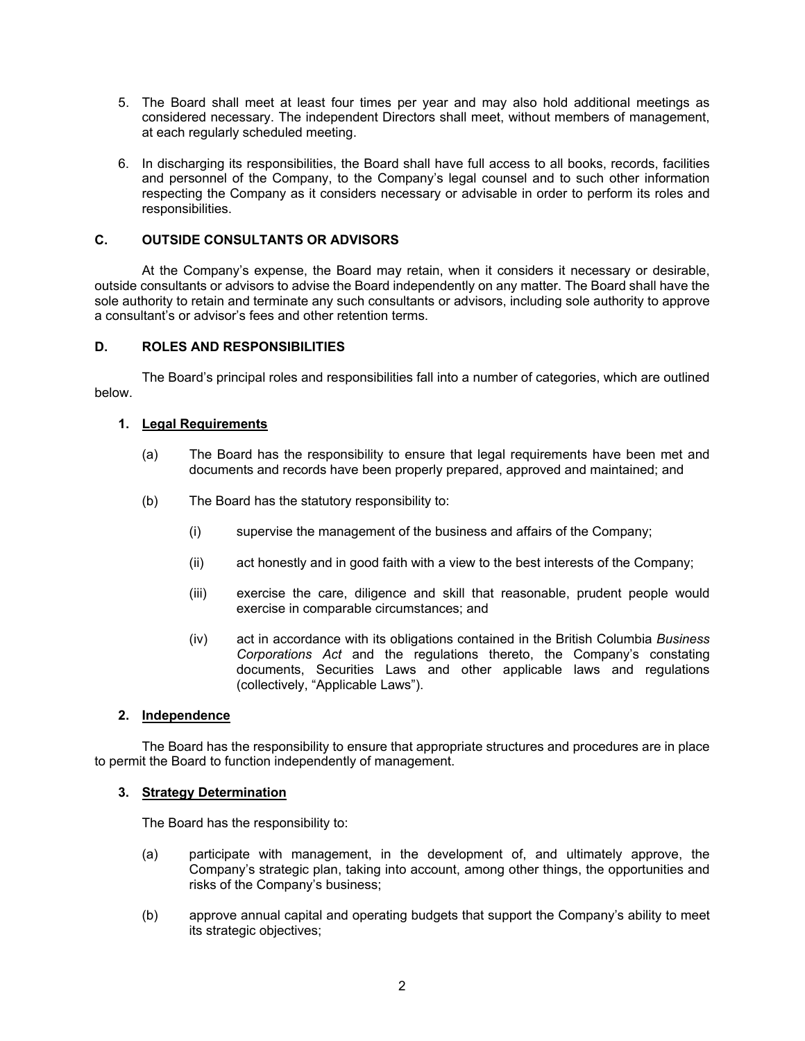- 5. The Board shall meet at least four times per year and may also hold additional meetings as considered necessary. The independent Directors shall meet, without members of management, at each regularly scheduled meeting.
- 6. In discharging its responsibilities, the Board shall have full access to all books, records, facilities and personnel of the Company, to the Company's legal counsel and to such other information respecting the Company as it considers necessary or advisable in order to perform its roles and responsibilities.

# **C. OUTSIDE CONSULTANTS OR ADVISORS**

At the Company's expense, the Board may retain, when it considers it necessary or desirable, outside consultants or advisors to advise the Board independently on any matter. The Board shall have the sole authority to retain and terminate any such consultants or advisors, including sole authority to approve a consultant's or advisor's fees and other retention terms.

## **D. ROLES AND RESPONSIBILITIES**

 The Board's principal roles and responsibilities fall into a number of categories, which are outlined below.

## **1. Legal Requirements**

- (a) The Board has the responsibility to ensure that legal requirements have been met and documents and records have been properly prepared, approved and maintained; and
- (b) The Board has the statutory responsibility to:
	- (i) supervise the management of the business and affairs of the Company;
	- (ii) act honestly and in good faith with a view to the best interests of the Company;
	- (iii) exercise the care, diligence and skill that reasonable, prudent people would exercise in comparable circumstances; and
	- (iv) act in accordance with its obligations contained in the British Columbia *Business Corporations Act* and the regulations thereto, the Company's constating documents, Securities Laws and other applicable laws and regulations (collectively, "Applicable Laws").

# **2. Independence**

The Board has the responsibility to ensure that appropriate structures and procedures are in place to permit the Board to function independently of management.

#### **3. Strategy Determination**

The Board has the responsibility to:

- (a) participate with management, in the development of, and ultimately approve, the Company's strategic plan, taking into account, among other things, the opportunities and risks of the Company's business;
- (b) approve annual capital and operating budgets that support the Company's ability to meet its strategic objectives;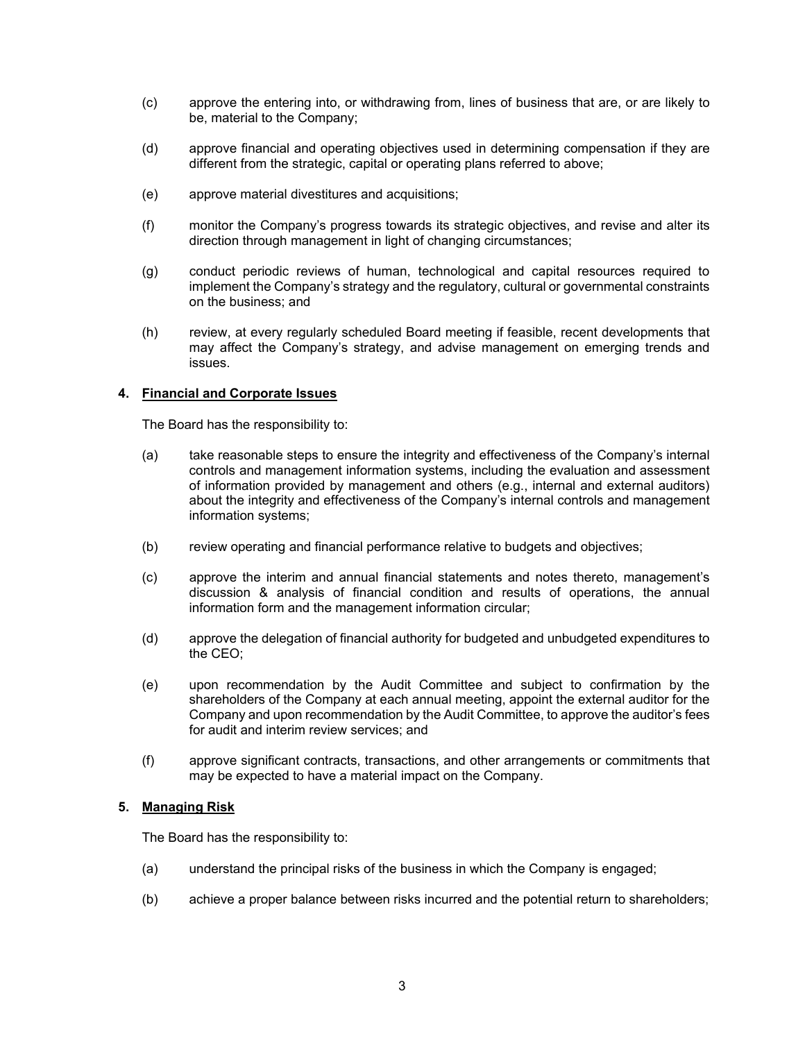- (c) approve the entering into, or withdrawing from, lines of business that are, or are likely to be, material to the Company;
- (d) approve financial and operating objectives used in determining compensation if they are different from the strategic, capital or operating plans referred to above;
- (e) approve material divestitures and acquisitions;
- (f) monitor the Company's progress towards its strategic objectives, and revise and alter its direction through management in light of changing circumstances;
- (g) conduct periodic reviews of human, technological and capital resources required to implement the Company's strategy and the regulatory, cultural or governmental constraints on the business; and
- (h) review, at every regularly scheduled Board meeting if feasible, recent developments that may affect the Company's strategy, and advise management on emerging trends and issues.

## **4. Financial and Corporate Issues**

The Board has the responsibility to:

- (a) take reasonable steps to ensure the integrity and effectiveness of the Company's internal controls and management information systems, including the evaluation and assessment of information provided by management and others (e.g., internal and external auditors) about the integrity and effectiveness of the Company's internal controls and management information systems;
- (b) review operating and financial performance relative to budgets and objectives;
- (c) approve the interim and annual financial statements and notes thereto, management's discussion & analysis of financial condition and results of operations, the annual information form and the management information circular;
- (d) approve the delegation of financial authority for budgeted and unbudgeted expenditures to the CEO;
- (e) upon recommendation by the Audit Committee and subject to confirmation by the shareholders of the Company at each annual meeting, appoint the external auditor for the Company and upon recommendation by the Audit Committee, to approve the auditor's fees for audit and interim review services; and
- (f) approve significant contracts, transactions, and other arrangements or commitments that may be expected to have a material impact on the Company.

## **5. Managing Risk**

The Board has the responsibility to:

- (a) understand the principal risks of the business in which the Company is engaged;
- (b) achieve a proper balance between risks incurred and the potential return to shareholders;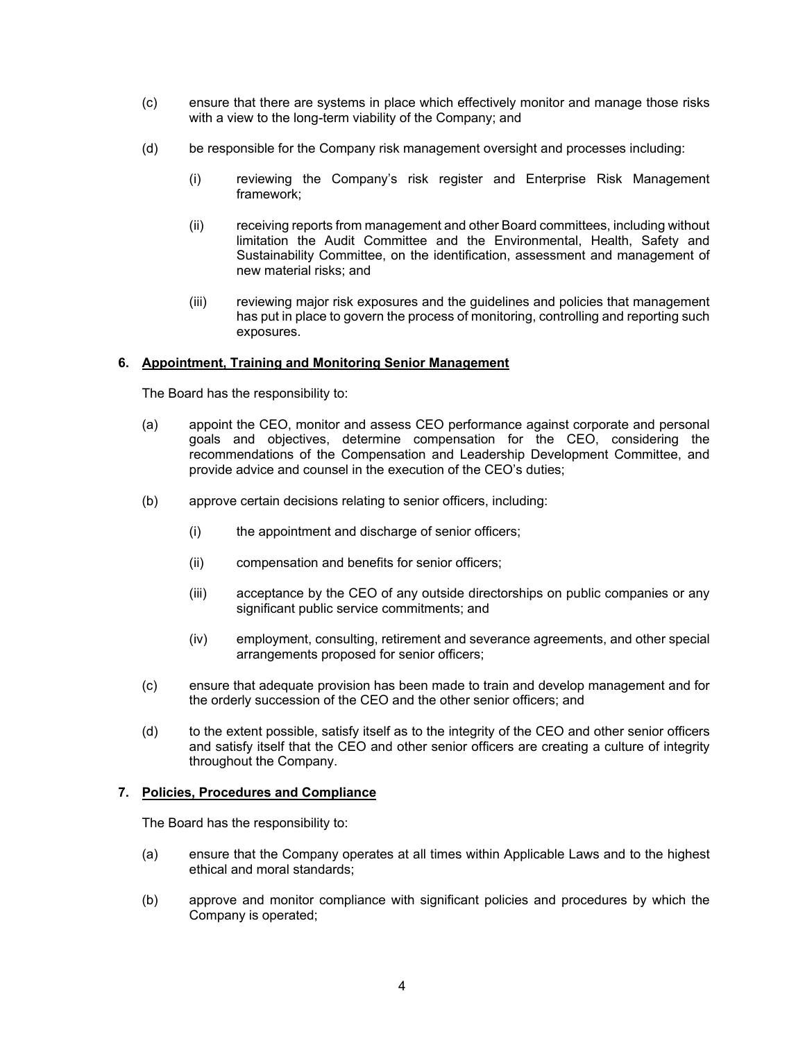- (c) ensure that there are systems in place which effectively monitor and manage those risks with a view to the long-term viability of the Company; and
- (d) be responsible for the Company risk management oversight and processes including:
	- (i) reviewing the Company's risk register and Enterprise Risk Management framework;
	- (ii) receiving reports from management and other Board committees, including without limitation the Audit Committee and the Environmental, Health, Safety and Sustainability Committee, on the identification, assessment and management of new material risks; and
	- (iii) reviewing major risk exposures and the guidelines and policies that management has put in place to govern the process of monitoring, controlling and reporting such exposures.

## **6. Appointment, Training and Monitoring Senior Management**

The Board has the responsibility to:

- (a) appoint the CEO, monitor and assess CEO performance against corporate and personal goals and objectives, determine compensation for the CEO, considering the recommendations of the Compensation and Leadership Development Committee, and provide advice and counsel in the execution of the CEO's duties;
- (b) approve certain decisions relating to senior officers, including:
	- (i) the appointment and discharge of senior officers;
	- (ii) compensation and benefits for senior officers;
	- (iii) acceptance by the CEO of any outside directorships on public companies or any significant public service commitments; and
	- (iv) employment, consulting, retirement and severance agreements, and other special arrangements proposed for senior officers;
- (c) ensure that adequate provision has been made to train and develop management and for the orderly succession of the CEO and the other senior officers; and
- (d) to the extent possible, satisfy itself as to the integrity of the CEO and other senior officers and satisfy itself that the CEO and other senior officers are creating a culture of integrity throughout the Company.

#### **7. Policies, Procedures and Compliance**

The Board has the responsibility to:

- (a) ensure that the Company operates at all times within Applicable Laws and to the highest ethical and moral standards;
- (b) approve and monitor compliance with significant policies and procedures by which the Company is operated;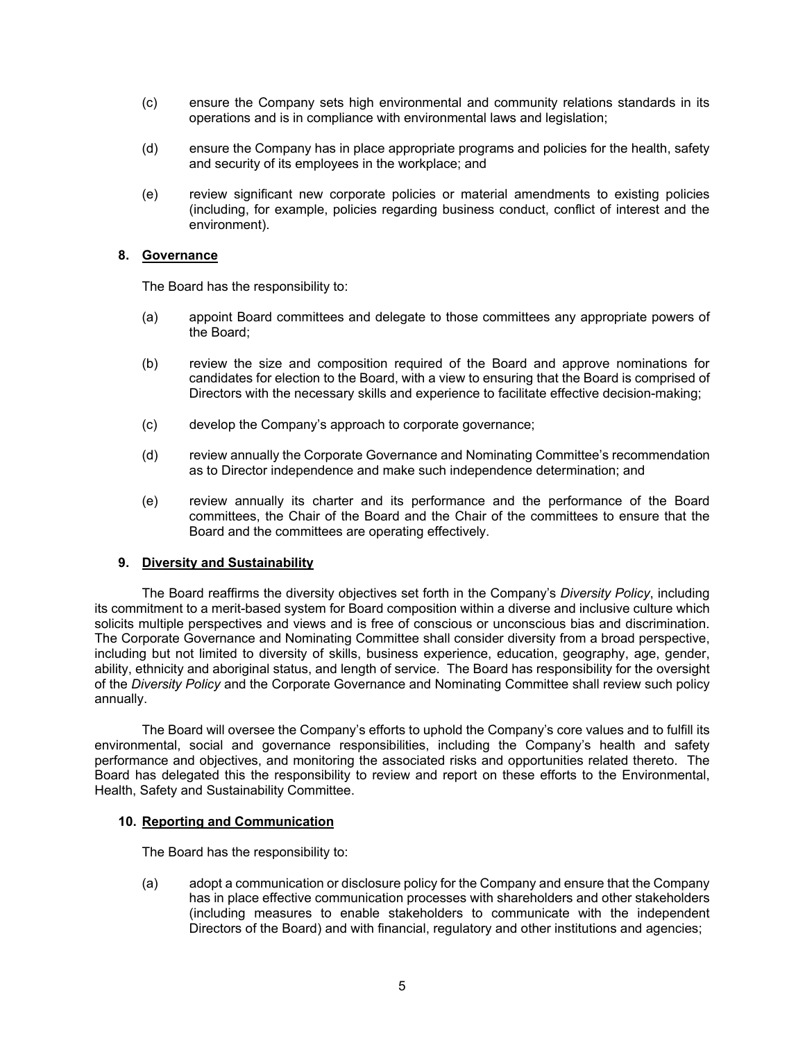- (c) ensure the Company sets high environmental and community relations standards in its operations and is in compliance with environmental laws and legislation;
- (d) ensure the Company has in place appropriate programs and policies for the health, safety and security of its employees in the workplace; and
- (e) review significant new corporate policies or material amendments to existing policies (including, for example, policies regarding business conduct, conflict of interest and the environment).

### **8. Governance**

The Board has the responsibility to:

- (a) appoint Board committees and delegate to those committees any appropriate powers of the Board;
- (b) review the size and composition required of the Board and approve nominations for candidates for election to the Board, with a view to ensuring that the Board is comprised of Directors with the necessary skills and experience to facilitate effective decision-making;
- (c) develop the Company's approach to corporate governance;
- (d) review annually the Corporate Governance and Nominating Committee's recommendation as to Director independence and make such independence determination; and
- (e) review annually its charter and its performance and the performance of the Board committees, the Chair of the Board and the Chair of the committees to ensure that the Board and the committees are operating effectively.

#### **9. Diversity and Sustainability**

The Board reaffirms the diversity objectives set forth in the Company's *Diversity Policy*, including its commitment to a merit-based system for Board composition within a diverse and inclusive culture which solicits multiple perspectives and views and is free of conscious or unconscious bias and discrimination. The Corporate Governance and Nominating Committee shall consider diversity from a broad perspective, including but not limited to diversity of skills, business experience, education, geography, age, gender, ability, ethnicity and aboriginal status, and length of service. The Board has responsibility for the oversight of the *Diversity Policy* and the Corporate Governance and Nominating Committee shall review such policy annually.

The Board will oversee the Company's efforts to uphold the Company's core values and to fulfill its environmental, social and governance responsibilities, including the Company's health and safety performance and objectives, and monitoring the associated risks and opportunities related thereto. The Board has delegated this the responsibility to review and report on these efforts to the Environmental, Health, Safety and Sustainability Committee.

#### **10. Reporting and Communication**

The Board has the responsibility to:

(a) adopt a communication or disclosure policy for the Company and ensure that the Company has in place effective communication processes with shareholders and other stakeholders (including measures to enable stakeholders to communicate with the independent Directors of the Board) and with financial, regulatory and other institutions and agencies;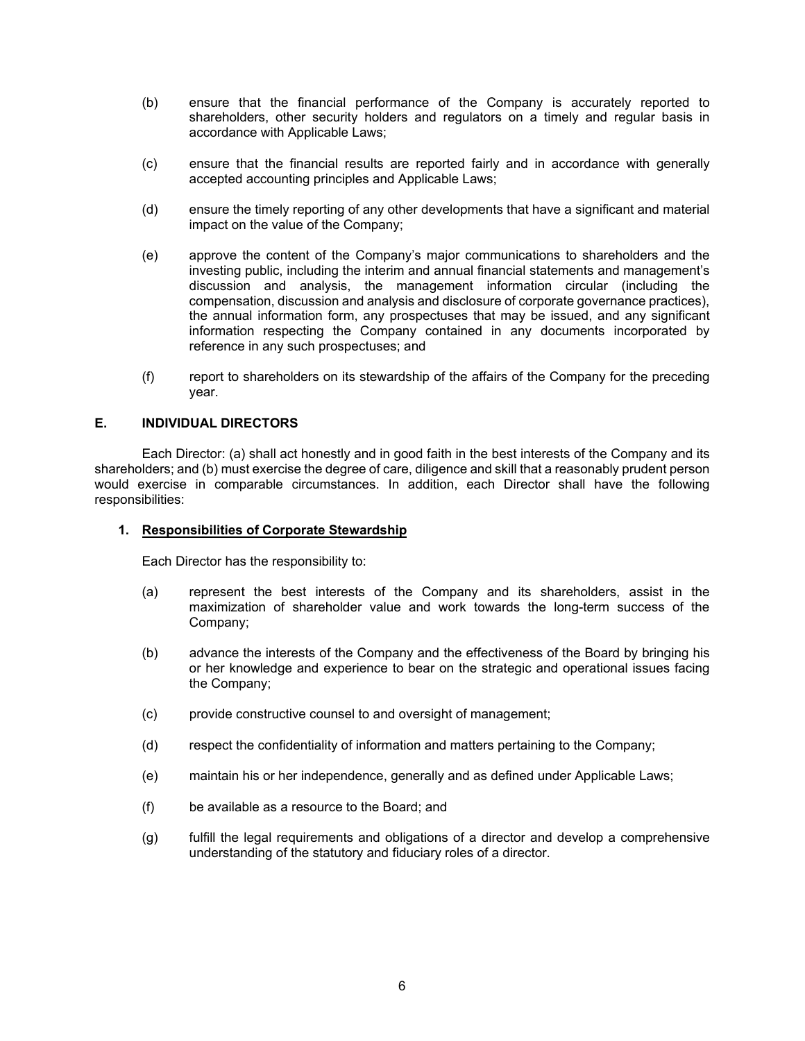- (b) ensure that the financial performance of the Company is accurately reported to shareholders, other security holders and regulators on a timely and regular basis in accordance with Applicable Laws;
- (c) ensure that the financial results are reported fairly and in accordance with generally accepted accounting principles and Applicable Laws;
- (d) ensure the timely reporting of any other developments that have a significant and material impact on the value of the Company;
- (e) approve the content of the Company's major communications to shareholders and the investing public, including the interim and annual financial statements and management's discussion and analysis, the management information circular (including the compensation, discussion and analysis and disclosure of corporate governance practices), the annual information form, any prospectuses that may be issued, and any significant information respecting the Company contained in any documents incorporated by reference in any such prospectuses; and
- (f) report to shareholders on its stewardship of the affairs of the Company for the preceding year.

## **E. INDIVIDUAL DIRECTORS**

Each Director: (a) shall act honestly and in good faith in the best interests of the Company and its shareholders; and (b) must exercise the degree of care, diligence and skill that a reasonably prudent person would exercise in comparable circumstances. In addition, each Director shall have the following responsibilities:

#### **1. Responsibilities of Corporate Stewardship**

Each Director has the responsibility to:

- (a) represent the best interests of the Company and its shareholders, assist in the maximization of shareholder value and work towards the long-term success of the Company;
- (b) advance the interests of the Company and the effectiveness of the Board by bringing his or her knowledge and experience to bear on the strategic and operational issues facing the Company;
- (c) provide constructive counsel to and oversight of management;
- (d) respect the confidentiality of information and matters pertaining to the Company;
- (e) maintain his or her independence, generally and as defined under Applicable Laws;
- (f) be available as a resource to the Board; and
- (g) fulfill the legal requirements and obligations of a director and develop a comprehensive understanding of the statutory and fiduciary roles of a director.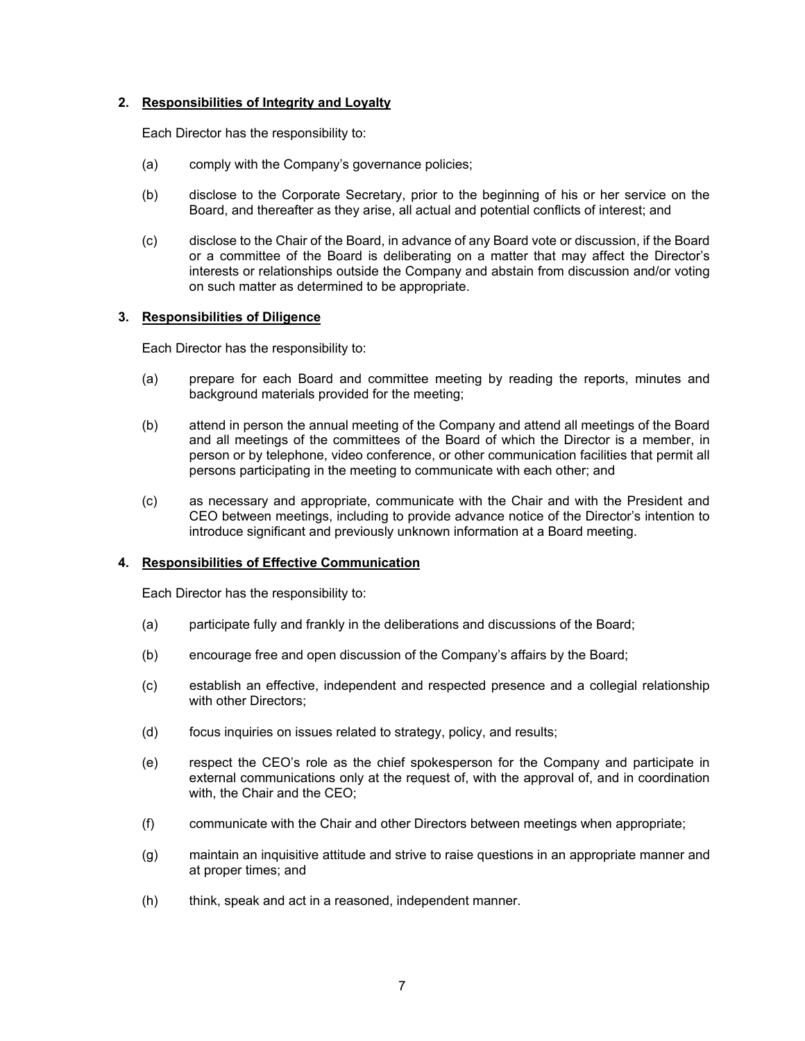## **2. Responsibilities of Integrity and Loyalty**

Each Director has the responsibility to:

- (a) comply with the Company's governance policies;
- (b) disclose to the Corporate Secretary, prior to the beginning of his or her service on the Board, and thereafter as they arise, all actual and potential conflicts of interest; and
- (c) disclose to the Chair of the Board, in advance of any Board vote or discussion, if the Board or a committee of the Board is deliberating on a matter that may affect the Director's interests or relationships outside the Company and abstain from discussion and/or voting on such matter as determined to be appropriate.

### **3. Responsibilities of Diligence**

Each Director has the responsibility to:

- (a) prepare for each Board and committee meeting by reading the reports, minutes and background materials provided for the meeting;
- (b) attend in person the annual meeting of the Company and attend all meetings of the Board and all meetings of the committees of the Board of which the Director is a member, in person or by telephone, video conference, or other communication facilities that permit all persons participating in the meeting to communicate with each other; and
- (c) as necessary and appropriate, communicate with the Chair and with the President and CEO between meetings, including to provide advance notice of the Director's intention to introduce significant and previously unknown information at a Board meeting.

#### **4. Responsibilities of Effective Communication**

Each Director has the responsibility to:

- (a) participate fully and frankly in the deliberations and discussions of the Board;
- (b) encourage free and open discussion of the Company's affairs by the Board;
- (c) establish an effective, independent and respected presence and a collegial relationship with other Directors;
- (d) focus inquiries on issues related to strategy, policy, and results;
- (e) respect the CEO's role as the chief spokesperson for the Company and participate in external communications only at the request of, with the approval of, and in coordination with, the Chair and the CEO;
- (f) communicate with the Chair and other Directors between meetings when appropriate;
- (g) maintain an inquisitive attitude and strive to raise questions in an appropriate manner and at proper times; and
- (h) think, speak and act in a reasoned, independent manner.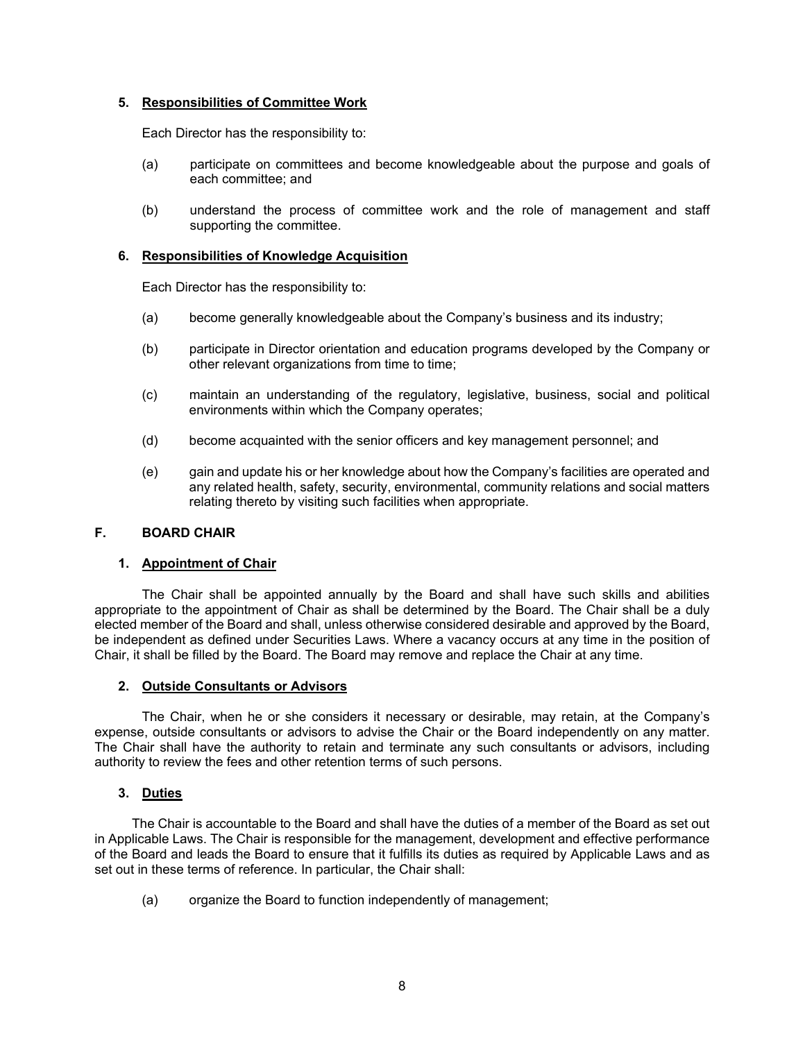## **5. Responsibilities of Committee Work**

Each Director has the responsibility to:

- (a) participate on committees and become knowledgeable about the purpose and goals of each committee; and
- (b) understand the process of committee work and the role of management and staff supporting the committee.

### **6. Responsibilities of Knowledge Acquisition**

Each Director has the responsibility to:

- (a) become generally knowledgeable about the Company's business and its industry;
- (b) participate in Director orientation and education programs developed by the Company or other relevant organizations from time to time;
- (c) maintain an understanding of the regulatory, legislative, business, social and political environments within which the Company operates;
- (d) become acquainted with the senior officers and key management personnel; and
- (e) gain and update his or her knowledge about how the Company's facilities are operated and any related health, safety, security, environmental, community relations and social matters relating thereto by visiting such facilities when appropriate.

#### **F. BOARD CHAIR**

#### **1. Appointment of Chair**

 The Chair shall be appointed annually by the Board and shall have such skills and abilities appropriate to the appointment of Chair as shall be determined by the Board. The Chair shall be a duly elected member of the Board and shall, unless otherwise considered desirable and approved by the Board, be independent as defined under Securities Laws. Where a vacancy occurs at any time in the position of Chair, it shall be filled by the Board. The Board may remove and replace the Chair at any time.

#### **2. Outside Consultants or Advisors**

 The Chair, when he or she considers it necessary or desirable, may retain, at the Company's expense, outside consultants or advisors to advise the Chair or the Board independently on any matter. The Chair shall have the authority to retain and terminate any such consultants or advisors, including authority to review the fees and other retention terms of such persons.

#### **3. Duties**

The Chair is accountable to the Board and shall have the duties of a member of the Board as set out in Applicable Laws. The Chair is responsible for the management, development and effective performance of the Board and leads the Board to ensure that it fulfills its duties as required by Applicable Laws and as set out in these terms of reference. In particular, the Chair shall:

(a) organize the Board to function independently of management;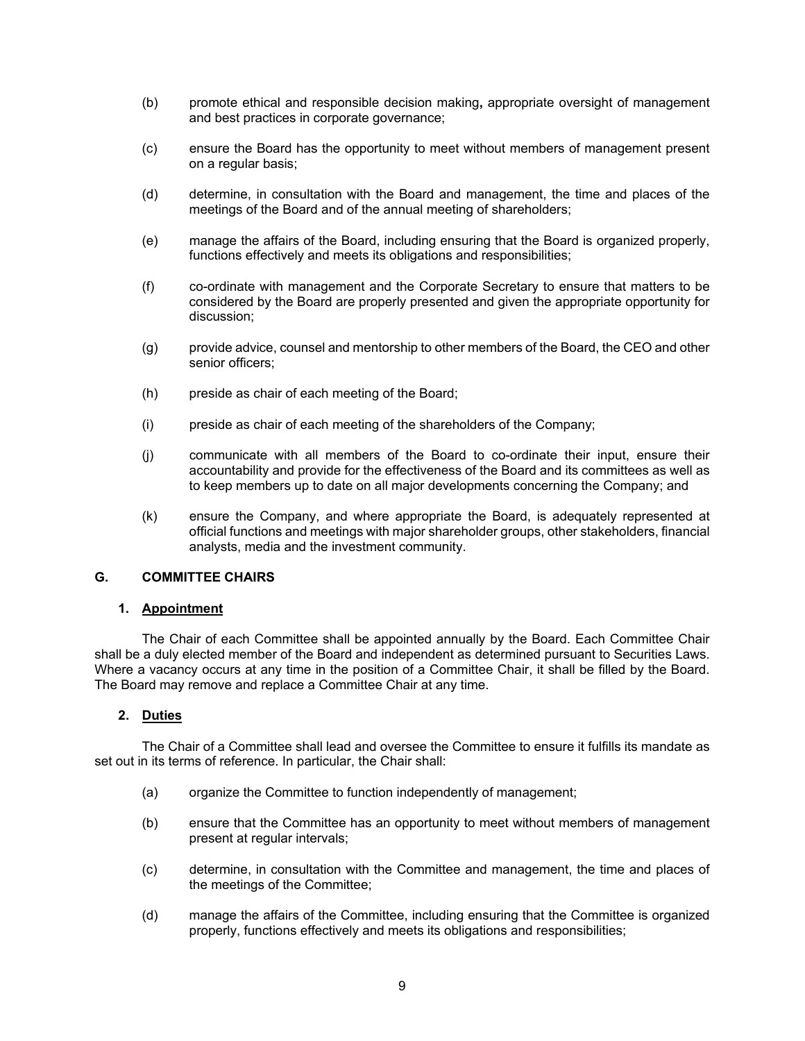- (b) promote ethical and responsible decision making**,** appropriate oversight of management and best practices in corporate governance;
- (c) ensure the Board has the opportunity to meet without members of management present on a regular basis;
- (d) determine, in consultation with the Board and management, the time and places of the meetings of the Board and of the annual meeting of shareholders;
- (e) manage the affairs of the Board, including ensuring that the Board is organized properly, functions effectively and meets its obligations and responsibilities;
- (f) co-ordinate with management and the Corporate Secretary to ensure that matters to be considered by the Board are properly presented and given the appropriate opportunity for discussion;
- (g) provide advice, counsel and mentorship to other members of the Board, the CEO and other senior officers;
- (h) preside as chair of each meeting of the Board;
- (i) preside as chair of each meeting of the shareholders of the Company;
- (j) communicate with all members of the Board to co-ordinate their input, ensure their accountability and provide for the effectiveness of the Board and its committees as well as to keep members up to date on all major developments concerning the Company; and
- (k) ensure the Company, and where appropriate the Board, is adequately represented at official functions and meetings with major shareholder groups, other stakeholders, financial analysts, media and the investment community.

#### **G. COMMITTEE CHAIRS**

#### **1. Appointment**

The Chair of each Committee shall be appointed annually by the Board. Each Committee Chair shall be a duly elected member of the Board and independent as determined pursuant to Securities Laws. Where a vacancy occurs at any time in the position of a Committee Chair, it shall be filled by the Board. The Board may remove and replace a Committee Chair at any time.

### **2. Duties**

The Chair of a Committee shall lead and oversee the Committee to ensure it fulfills its mandate as set out in its terms of reference. In particular, the Chair shall:

- (a) organize the Committee to function independently of management;
- (b) ensure that the Committee has an opportunity to meet without members of management present at regular intervals;
- (c) determine, in consultation with the Committee and management, the time and places of the meetings of the Committee;
- (d) manage the affairs of the Committee, including ensuring that the Committee is organized properly, functions effectively and meets its obligations and responsibilities;